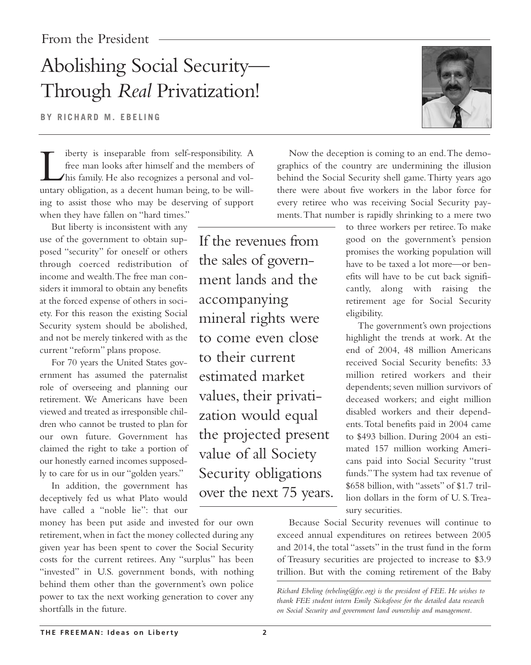## Abolishing Social Security— Through *Real* Privatization!

**BY RICHARD M. EBELING**

iberty is inseparable from self-responsibility. A<br>free man looks after himself and the members of<br>his family. He also recognizes a personal and vol-<br>untary obligation, as a decent human being, to be willfree man looks after himself and the members of his family. He also recognizes a personal and voluntary obligation, as a decent human being, to be willing to assist those who may be deserving of support when they have fallen on "hard times."

But liberty is inconsistent with any use of the government to obtain supposed "security" for oneself or others through coerced redistribution of income and wealth.The free man considers it immoral to obtain any benefits at the forced expense of others in society. For this reason the existing Social Security system should be abolished, and not be merely tinkered with as the current "reform" plans propose.

For 70 years the United States government has assumed the paternalist role of overseeing and planning our retirement. We Americans have been viewed and treated as irresponsible children who cannot be trusted to plan for our own future. Government has claimed the right to take a portion of our honestly earned incomes supposedly to care for us in our "golden years."

In addition, the government has deceptively fed us what Plato would have called a "noble lie": that our

money has been put aside and invested for our own retirement, when in fact the money collected during any given year has been spent to cover the Social Security costs for the current retirees. Any "surplus" has been "invested" in U.S. government bonds, with nothing behind them other than the government's own police power to tax the next working generation to cover any shortfalls in the future.

If the revenues from the sales of government lands and the accompanying mineral rights were to come even close to their current estimated market values, their privatization would equal the projected present value of all Society Security obligations over the next 75 years.



Now the deception is coming to an end.The demographics of the country are undermining the illusion behind the Social Security shell game.Thirty years ago there were about five workers in the labor force for every retiree who was receiving Social Security payments.That number is rapidly shrinking to a mere two

> to three workers per retiree.To make good on the government's pension promises the working population will have to be taxed a lot more—or benefits will have to be cut back significantly, along with raising the retirement age for Social Security eligibility.

> The government's own projections highlight the trends at work. At the end of 2004, 48 million Americans received Social Security benefits: 33 million retired workers and their dependents; seven million survivors of deceased workers; and eight million disabled workers and their dependents.Total benefits paid in 2004 came to \$493 billion. During 2004 an estimated 157 million working Americans paid into Social Security "trust funds."The system had tax revenue of \$658 billion, with "assets" of \$1.7 trillion dollars in the form of U. S.Treasury securities.

Because Social Security revenues will continue to exceed annual expenditures on retirees between 2005 and 2014, the total "assets" in the trust fund in the form of Treasury securities are projected to increase to \$3.9 trillion. But with the coming retirement of the Baby

*Richard Ebeling (rebeling@fee.org) is the president of FEE. He wishes to thank FEE student intern Emily Sickafoose for the detailed data research on Social Security and government land ownership and management.*